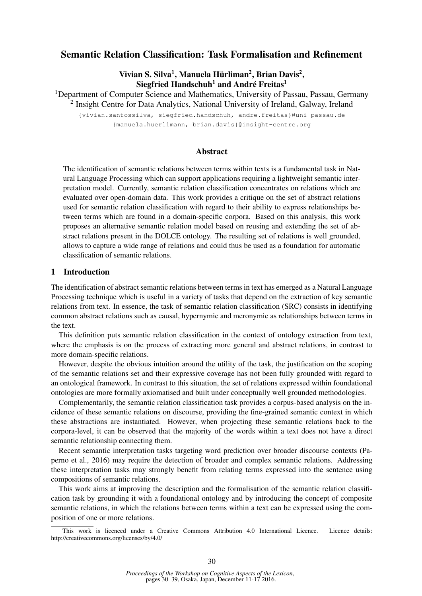# Semantic Relation Classification: Task Formalisation and Refinement

Vivian S. Silva<sup>1</sup>, Manuela Hürliman<sup>2</sup>, Brian Davis<sup>2</sup>, Siegfried Handschuh<sup>1</sup> and André Freitas<sup>1</sup>

<sup>1</sup>Department of Computer Science and Mathematics, University of Passau, Passau, Germany

<sup>2</sup> Insight Centre for Data Analytics, National University of Ireland, Galway, Ireland

{vivian.santossilva, siegfried.handschuh, andre.freitas}@uni-passau.de {manuela.huerlimann, brian.davis}@insight-centre.org

## Abstract

The identification of semantic relations between terms within texts is a fundamental task in Natural Language Processing which can support applications requiring a lightweight semantic interpretation model. Currently, semantic relation classification concentrates on relations which are evaluated over open-domain data. This work provides a critique on the set of abstract relations used for semantic relation classification with regard to their ability to express relationships between terms which are found in a domain-specific corpora. Based on this analysis, this work proposes an alternative semantic relation model based on reusing and extending the set of abstract relations present in the DOLCE ontology. The resulting set of relations is well grounded, allows to capture a wide range of relations and could thus be used as a foundation for automatic classification of semantic relations.

### 1 Introduction

The identification of abstract semantic relations between terms in text has emerged as a Natural Language Processing technique which is useful in a variety of tasks that depend on the extraction of key semantic relations from text. In essence, the task of semantic relation classification (SRC) consists in identifying common abstract relations such as causal, hypernymic and meronymic as relationships between terms in the text.

This definition puts semantic relation classification in the context of ontology extraction from text, where the emphasis is on the process of extracting more general and abstract relations, in contrast to more domain-specific relations.

However, despite the obvious intuition around the utility of the task, the justification on the scoping of the semantic relations set and their expressive coverage has not been fully grounded with regard to an ontological framework. In contrast to this situation, the set of relations expressed within foundational ontologies are more formally axiomatised and built under conceptually well grounded methodologies.

Complementarily, the semantic relation classification task provides a corpus-based analysis on the incidence of these semantic relations on discourse, providing the fine-grained semantic context in which these abstractions are instantiated. However, when projecting these semantic relations back to the corpora-level, it can be observed that the majority of the words within a text does not have a direct semantic relationship connecting them.

Recent semantic interpretation tasks targeting word prediction over broader discourse contexts (Paperno et al., 2016) may require the detection of broader and complex semantic relations. Addressing these interpretation tasks may strongly benefit from relating terms expressed into the sentence using compositions of semantic relations.

This work aims at improving the description and the formalisation of the semantic relation classification task by grounding it with a foundational ontology and by introducing the concept of composite semantic relations, in which the relations between terms within a text can be expressed using the composition of one or more relations.

This work is licenced under a Creative Commons Attribution 4.0 International Licence. Licence details: http://creativecommons.org/licenses/by/4.0/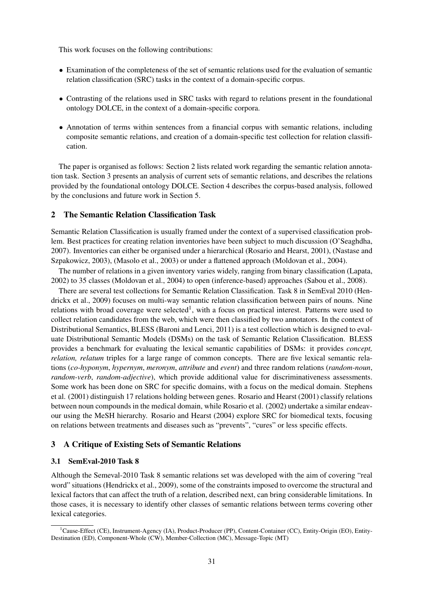This work focuses on the following contributions:

- Examination of the completeness of the set of semantic relations used for the evaluation of semantic relation classification (SRC) tasks in the context of a domain-specific corpus.
- Contrasting of the relations used in SRC tasks with regard to relations present in the foundational ontology DOLCE, in the context of a domain-specific corpora.
- Annotation of terms within sentences from a financial corpus with semantic relations, including composite semantic relations, and creation of a domain-specific test collection for relation classification.

The paper is organised as follows: Section 2 lists related work regarding the semantic relation annotation task. Section 3 presents an analysis of current sets of semantic relations, and describes the relations provided by the foundational ontology DOLCE. Section 4 describes the corpus-based analysis, followed by the conclusions and future work in Section 5.

### 2 The Semantic Relation Classification Task

Semantic Relation Classification is usually framed under the context of a supervised classification problem. Best practices for creating relation inventories have been subject to much discussion (O'Seaghdha, 2007). Inventories can either be organised under a hierarchical (Rosario and Hearst, 2001), (Nastase and Szpakowicz, 2003), (Masolo et al., 2003) or under a flattened approach (Moldovan et al., 2004).

The number of relations in a given inventory varies widely, ranging from binary classification (Lapata, 2002) to 35 classes (Moldovan et al., 2004) to open (inference-based) approaches (Sabou et al., 2008).

There are several test collections for Semantic Relation Classification. Task 8 in SemEval 2010 (Hendrickx et al., 2009) focuses on multi-way semantic relation classification between pairs of nouns. Nine relations with broad coverage were selected<sup>1</sup>, with a focus on practical interest. Patterns were used to collect relation candidates from the web, which were then classified by two annotators. In the context of Distributional Semantics, BLESS (Baroni and Lenci, 2011) is a test collection which is designed to evaluate Distributional Semantic Models (DSMs) on the task of Semantic Relation Classification. BLESS provides a benchmark for evaluating the lexical semantic capabilities of DSMs: it provides *concept, relation, relatum* triples for a large range of common concepts. There are five lexical semantic relations (*co-hyponym*, *hypernym*, *meronym*, *attribute* and *event*) and three random relations (*random-noun*, *random-verb*, *random-adjective*), which provide additional value for discriminativeness assessments. Some work has been done on SRC for specific domains, with a focus on the medical domain. Stephens et al. (2001) distinguish 17 relations holding between genes. Rosario and Hearst (2001) classify relations between noun compounds in the medical domain, while Rosario et al. (2002) undertake a similar endeavour using the MeSH hierarchy. Rosario and Hearst (2004) explore SRC for biomedical texts, focusing on relations between treatments and diseases such as "prevents", "cures" or less specific effects.

## 3 A Critique of Existing Sets of Semantic Relations

### 3.1 SemEval-2010 Task 8

Although the Semeval-2010 Task 8 semantic relations set was developed with the aim of covering "real word" situations (Hendrickx et al., 2009), some of the constraints imposed to overcome the structural and lexical factors that can affect the truth of a relation, described next, can bring considerable limitations. In those cases, it is necessary to identify other classes of semantic relations between terms covering other lexical categories.

<sup>&</sup>lt;sup>1</sup>Cause-Effect (CE), Instrument-Agency (IA), Product-Producer (PP), Content-Container (CC), Entity-Origin (EO), Entity-Destination (ED), Component-Whole (CW), Member-Collection (MC), Message-Topic (MT)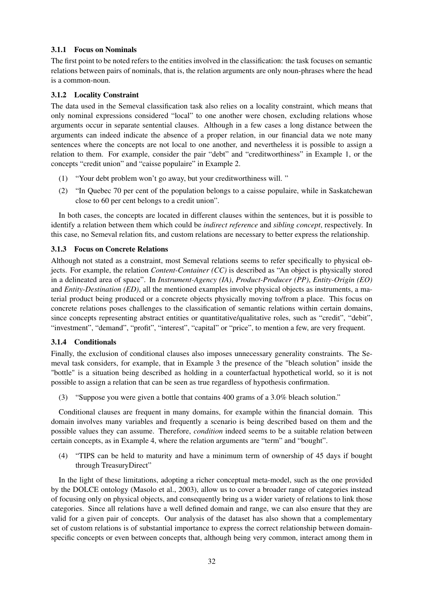## 3.1.1 Focus on Nominals

The first point to be noted refers to the entities involved in the classification: the task focuses on semantic relations between pairs of nominals, that is, the relation arguments are only noun-phrases where the head is a common-noun.

## 3.1.2 Locality Constraint

The data used in the Semeval classification task also relies on a locality constraint, which means that only nominal expressions considered "local" to one another were chosen, excluding relations whose arguments occur in separate sentential clauses. Although in a few cases a long distance between the arguments can indeed indicate the absence of a proper relation, in our financial data we note many sentences where the concepts are not local to one another, and nevertheless it is possible to assign a relation to them. For example, consider the pair "debt" and "creditworthiness" in Example 1, or the concepts "credit union" and "caisse populaire" in Example 2.

- (1) "Your debt problem won't go away, but your creditworthiness will. "
- (2) "In Quebec 70 per cent of the population belongs to a caisse populaire, while in Saskatchewan close to 60 per cent belongs to a credit union".

In both cases, the concepts are located in different clauses within the sentences, but it is possible to identify a relation between them which could be *indirect reference* and *sibling concept*, respectively. In this case, no Semeval relation fits, and custom relations are necessary to better express the relationship.

## 3.1.3 Focus on Concrete Relations

Although not stated as a constraint, most Semeval relations seems to refer specifically to physical objects. For example, the relation *Content-Container (CC)* is described as "An object is physically stored in a delineated area of space". In *Instrument-Agency (IA)*, *Product-Producer (PP)*, *Entity-Origin (EO)* and *Entity-Destination (ED)*, all the mentioned examples involve physical objects as instruments, a material product being produced or a concrete objects physically moving to/from a place. This focus on concrete relations poses challenges to the classification of semantic relations within certain domains, since concepts representing abstract entities or quantitative/qualitative roles, such as "credit", "debit", "investment", "demand", "profit", "interest", "capital" or "price", to mention a few, are very frequent.

### 3.1.4 Conditionals

Finally, the exclusion of conditional clauses also imposes unnecessary generality constraints. The Semeval task considers, for example, that in Example 3 the presence of the "bleach solution" inside the "bottle" is a situation being described as holding in a counterfactual hypothetical world, so it is not possible to assign a relation that can be seen as true regardless of hypothesis confirmation.

(3) "Suppose you were given a bottle that contains 400 grams of a 3.0% bleach solution."

Conditional clauses are frequent in many domains, for example within the financial domain. This domain involves many variables and frequently a scenario is being described based on them and the possible values they can assume. Therefore, *condition* indeed seems to be a suitable relation between certain concepts, as in Example 4, where the relation arguments are "term" and "bought".

(4) "TIPS can be held to maturity and have a minimum term of ownership of 45 days if bought through TreasuryDirect"

In the light of these limitations, adopting a richer conceptual meta-model, such as the one provided by the DOLCE ontology (Masolo et al., 2003), allow us to cover a broader range of categories instead of focusing only on physical objects, and consequently bring us a wider variety of relations to link those categories. Since all relations have a well defined domain and range, we can also ensure that they are valid for a given pair of concepts. Our analysis of the dataset has also shown that a complementary set of custom relations is of substantial importance to express the correct relationship between domainspecific concepts or even between concepts that, although being very common, interact among them in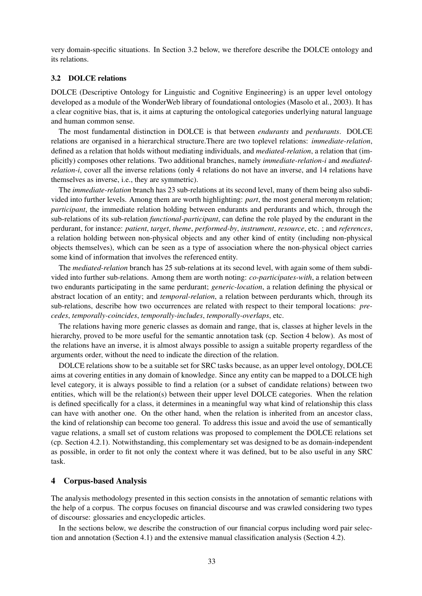very domain-specific situations. In Section 3.2 below, we therefore describe the DOLCE ontology and its relations.

#### 3.2 DOLCE relations

DOLCE (Descriptive Ontology for Linguistic and Cognitive Engineering) is an upper level ontology developed as a module of the WonderWeb library of foundational ontologies (Masolo et al., 2003). It has a clear cognitive bias, that is, it aims at capturing the ontological categories underlying natural language and human common sense.

The most fundamental distinction in DOLCE is that between *endurants* and *perdurants*. DOLCE relations are organised in a hierarchical structure.There are two toplevel relations: *immediate-relation*, defined as a relation that holds without mediating individuals, and *mediated-relation*, a relation that (implicitly) composes other relations. Two additional branches, namely *immediate-relation-i* and *mediatedrelation-i*, cover all the inverse relations (only 4 relations do not have an inverse, and 14 relations have themselves as inverse, i.e., they are symmetric).

The *immediate-relation* branch has 23 sub-relations at its second level, many of them being also subdivided into further levels. Among them are worth highlighting: *part*, the most general meronym relation; *participant*, the immediate relation holding between endurants and perdurants and which, through the sub-relations of its sub-relation *functional-participant*, can define the role played by the endurant in the perdurant, for instance: *patient*, *target*, *theme*, *performed-by*, *instrument*, *resource*, etc. ; and *references*, a relation holding between non-physical objects and any other kind of entity (including non-physical objects themselves), which can be seen as a type of association where the non-physical object carries some kind of information that involves the referenced entity.

The *mediated-relation* branch has 25 sub-relations at its second level, with again some of them subdivided into further sub-relations. Among them are worth noting: *co-participates-with*, a relation between two endurants participating in the same perdurant; *generic-location*, a relation defining the physical or abstract location of an entity; and *temporal-relation*, a relation between perdurants which, through its sub-relations, describe how two occurrences are related with respect to their temporal locations: *precedes*, *temporally-coincides*, *temporally-includes*, *temporally-overlaps*, etc.

The relations having more generic classes as domain and range, that is, classes at higher levels in the hierarchy, proved to be more useful for the semantic annotation task (cp. Section 4 below). As most of the relations have an inverse, it is almost always possible to assign a suitable property regardless of the arguments order, without the need to indicate the direction of the relation.

DOLCE relations show to be a suitable set for SRC tasks because, as an upper level ontology, DOLCE aims at covering entities in any domain of knowledge. Since any entity can be mapped to a DOLCE high level category, it is always possible to find a relation (or a subset of candidate relations) between two entities, which will be the relation(s) between their upper level DOLCE categories. When the relation is defined specifically for a class, it determines in a meaningful way what kind of relationship this class can have with another one. On the other hand, when the relation is inherited from an ancestor class, the kind of relationship can become too general. To address this issue and avoid the use of semantically vague relations, a small set of custom relations was proposed to complement the DOLCE relations set (cp. Section 4.2.1). Notwithstanding, this complementary set was designed to be as domain-independent as possible, in order to fit not only the context where it was defined, but to be also useful in any SRC task.

### 4 Corpus-based Analysis

The analysis methodology presented in this section consists in the annotation of semantic relations with the help of a corpus. The corpus focuses on financial discourse and was crawled considering two types of discourse: glossaries and encyclopedic articles.

In the sections below, we describe the construction of our financial corpus including word pair selection and annotation (Section 4.1) and the extensive manual classification analysis (Section 4.2).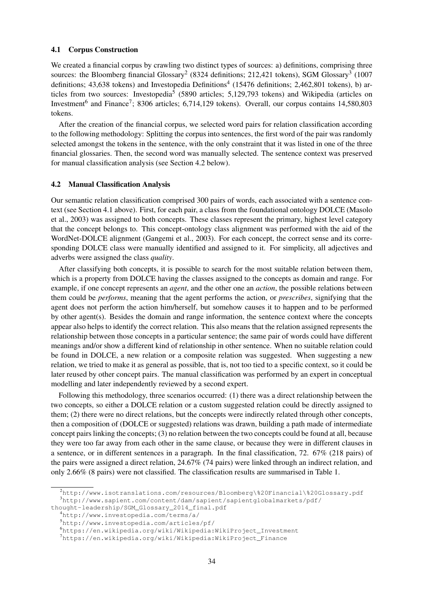#### 4.1 Corpus Construction

We created a financial corpus by crawling two distinct types of sources: a) definitions, comprising three sources: the Bloomberg financial Glossary<sup>2</sup> (8324 definitions; 212,421 tokens), SGM Glossary<sup>3</sup> (1007 definitions; 43,638 tokens) and Investopedia Definitions<sup>4</sup> (15476 definitions; 2,462,801 tokens), b) articles from two sources: Investopedia<sup>5</sup> (5890 articles; 5,129,793 tokens) and Wikipedia (articles on Investment<sup>6</sup> and Finance<sup>7</sup>; 8306 articles; 6,714,129 tokens). Overall, our corpus contains 14,580,803 tokens.

After the creation of the financial corpus, we selected word pairs for relation classification according to the following methodology: Splitting the corpus into sentences, the first word of the pair was randomly selected amongst the tokens in the sentence, with the only constraint that it was listed in one of the three financial glossaries. Then, the second word was manually selected. The sentence context was preserved for manual classification analysis (see Section 4.2 below).

#### 4.2 Manual Classification Analysis

Our semantic relation classification comprised 300 pairs of words, each associated with a sentence context (see Section 4.1 above). First, for each pair, a class from the foundational ontology DOLCE (Masolo et al., 2003) was assigned to both concepts. These classes represent the primary, highest level category that the concept belongs to. This concept-ontology class alignment was performed with the aid of the WordNet-DOLCE alignment (Gangemi et al., 2003). For each concept, the correct sense and its corresponding DOLCE class were manually identified and assigned to it. For simplicity, all adjectives and adverbs were assigned the class *quality*.

After classifying both concepts, it is possible to search for the most suitable relation between them, which is a property from DOLCE having the classes assigned to the concepts as domain and range. For example, if one concept represents an *agent*, and the other one an *action*, the possible relations between them could be *performs*, meaning that the agent performs the action, or *prescribes*, signifying that the agent does not perform the action him/herself, but somehow causes it to happen and to be performed by other agent(s). Besides the domain and range information, the sentence context where the concepts appear also helps to identify the correct relation. This also means that the relation assigned represents the relationship between those concepts in a particular sentence; the same pair of words could have different meanings and/or show a different kind of relationship in other sentence. When no suitable relation could be found in DOLCE, a new relation or a composite relation was suggested. When suggesting a new relation, we tried to make it as general as possible, that is, not too tied to a specific context, so it could be later reused by other concept pairs. The manual classification was performed by an expert in conceptual modelling and later independently reviewed by a second expert.

Following this methodology, three scenarios occurred: (1) there was a direct relationship between the two concepts, so either a DOLCE relation or a custom suggested relation could be directly assigned to them; (2) there were no direct relations, but the concepts were indirectly related through other concepts, then a composition of (DOLCE or suggested) relations was drawn, building a path made of intermediate concept pairs linking the concepts; (3) no relation between the two concepts could be found at all, because they were too far away from each other in the same clause, or because they were in different clauses in a sentence, or in different sentences in a paragraph. In the final classification, 72. 67% (218 pairs) of the pairs were assigned a direct relation, 24.67% (74 pairs) were linked through an indirect relation, and only 2.66% (8 pairs) were not classified. The classification results are summarised in Table 1.

<sup>2</sup>http://www.isotranslations.com/resources/Bloomberg\%20Financial\%20Glossary.pdf <sup>3</sup>http://www.sapient.com/content/dam/sapient/sapientglobalmarkets/pdf/

thought-leadership/SGM\_Glossary\_2014\_final.pdf

<sup>4</sup>http://www.investopedia.com/terms/a/

<sup>5</sup>http://www.investopedia.com/articles/pf/

<sup>6</sup>https://en.wikipedia.org/wiki/Wikipedia:WikiProject\_Investment

<sup>7</sup>https://en.wikipedia.org/wiki/Wikipedia:WikiProject\_Finance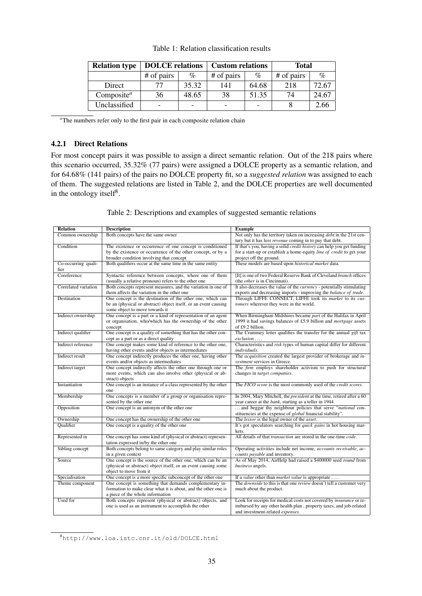| <b>Relation type</b>                | <b>DOLCE</b> relations   |       | <b>Custom relations</b> |       | <b>Total</b> |       |
|-------------------------------------|--------------------------|-------|-------------------------|-------|--------------|-------|
|                                     | # of pairs               | $\%$  | # of pairs              | $\%$  | # of pairs   | $\%$  |
| Direct                              |                          | 35.32 | 141                     | 64.68 | 218          | 72.67 |
| Composite <sup><math>a</math></sup> | 36                       | 48.65 | 38                      | 51.35 | 74           | 24.67 |
| Unclassified                        | $\overline{\phantom{0}}$ | -     | -                       |       |              | 2.66  |

Table 1: Relation classification results

<sup>a</sup>The numbers refer only to the first pair in each composite relation chain

### 4.2.1 Direct Relations

For most concept pairs it was possible to assign a direct semantic relation. Out of the 218 pairs where this scenario occurred, 35.32% (77 pairs) were assigned a DOLCE property as a semantic relation, and for 64.68% (141 pairs) of the pairs no DOLCE property fit, so a *suggested relation* was assigned to each of them. The suggested relations are listed in Table 2, and the DOLCE properties are well documented in the ontology itself<sup>8</sup>.

Table 2: Descriptions and examples of suggested semantic relations

| <b>Relation</b>      | <b>Description</b>                                              | <b>Example</b>                                                                     |
|----------------------|-----------------------------------------------------------------|------------------------------------------------------------------------------------|
| Common ownership     | Both concepts have the same owner                               | Not only has the territory taken on increasing <i>debt</i> in the 21st cen-        |
|                      |                                                                 | tury but it has less <i>revenue</i> coming in to pay that debt.                    |
| Condition            | The existence or occurrence of one concept is conditioned       | If that's you, having a solid <i>credit history</i> can help you get funding       |
|                      | by the existence or occurrence of the other concept, or by a    | for a start-up or establish a home-equity <i>line of credit</i> to get your        |
|                      | broader condition involving that concept                        | project off the ground.                                                            |
| Co-occurring quali-  | Both qualifiers occur at the same time in the same entity       | These models are based upon historical market data.                                |
| fier                 |                                                                 |                                                                                    |
| Coreference          | Syntactic reference between concepts, where one of them         | [It] is one of two Federal Reserve Bank of Cleveland branch offices                |
|                      | (usually a relative pronoun) refers to the other one            | (the <i>other</i> is in Cincinnati).                                               |
| Correlated variation | Both concepts represent measures, and the variation in one of   | It also decreases the value of the <i>currency</i> - potentially stimulating       |
|                      | them affects the variation in the other one                     | exports and decreasing imports - improving the <i>balance of trade</i> .           |
| Destination          | One concept is the destination of the other one, which can      | Through LIFFE CONNECT, LIFFE took its market to its cus-                           |
|                      | be an (physical or abstract) object itself, or an event causing | tomers wherever they were in the world.                                            |
|                      | some object to move towards it                                  |                                                                                    |
| Indirect ownership   | One concept is a part or a kind of representation of an agent   | When Birmingham Midshires became part of the Halifax in April                      |
|                      | or organisation, who/which has the ownership of the other       | 1999 it had savings balances of £5.9 billion and mortgage assets                   |
|                      | concept                                                         | of £9.2 billion.                                                                   |
| Indirect qualifier   | One concept is a quality of something that has the other con-   | The Crummey letter qualifies the transfer for the annual gift tax                  |
|                      | cept as a part or as a direct quality                           | exclusion                                                                          |
| Indirect reference   | One concept makes some kind of reference to the other one,      | Characteristics and risk types of human capital differ for different               |
|                      | having other events and/or objects as intermediates             | individuals.                                                                       |
| Indirect result      | One concept indirectly produces the other one, having other     | The <i>acquisition</i> created the largest provider of brokerage and in-           |
|                      | events and/or objects as intermediates                          | vestment services in Greece.                                                       |
| Indirect target      | One concept indirectly affects the other one through one or     | The firm employs shareholder activism to push for structural                       |
|                      | more events, which can also involve other (physical or ab-      | changes in target companies.                                                       |
|                      | stract) objects                                                 |                                                                                    |
| Instantiation        | One concept is an instance of a class represented by the other  | The FICO score is the most commonly used of the credit scores.                     |
|                      | one                                                             |                                                                                    |
| Membership           | One concepts is a member of a group or organisation repre-      | In 2004, Mary Mitchell, the <i>president</i> at the time, retired after a 60       |
|                      | sented by the other one                                         | year career at the <i>bank</i> , starting as a teller in 1944.                     |
| Opposition           | One concept is an antonym of the other one                      | and beggar thy neighbour policies that serve "national con-                        |
|                      |                                                                 | stituencies at the expense of <i>global</i> financial stability".                  |
| Ownership            | One concept has the ownership of the other one                  | The lessor is the legal owner of the asset.                                        |
| Qualifier            | One concept is a quality of the other one                       | It's got speculators searching for <i>quick gains</i> in hot housing mar-          |
|                      |                                                                 | kets.                                                                              |
| Represented in       | One concept has some kind of (physical or abstract) represen-   | All details of that transaction are stored in the one-time code.                   |
|                      | tation expressed in/by the other one                            |                                                                                    |
| Sibling concept      | Both concepts belong to same category and play similar roles    | Operating activities include net income, accounts receivable, ac-                  |
|                      | in a given context                                              | counts payable and inventory.                                                      |
| Source               | One concept is the source of the other one, which can be an     | As of May 2014, AirHelp had raised a \$400000 seed round from                      |
|                      | (physical or abstract) object itself, or an event causing some  | business angels.                                                                   |
|                      | object to move from it                                          |                                                                                    |
| Specialisation       | One concept is a more specific subconcept of the other one      | If a <i>value</i> other than <i>market value</i> is appropriate                    |
| Theme component      | One concept is something that demands complementary in-         | The <i>downside</i> to this is that one <i>review</i> doesn't tell a customer very |
|                      | formation to make clear what it is about, and the other one is  | much about the product.                                                            |
|                      | a piece of the whole information                                |                                                                                    |
| Used for             | Both concepts represent (physical or abstract) objects, and     | Look for receipts for medical costs not covered by <i>insurance</i> or re-         |
|                      | one is used as an instrument to accomplish the other            | imbursed by any other health plan, property taxes, and job-related                 |
|                      |                                                                 | and investment-related expenses.                                                   |

<sup>8</sup>http://www.loa.istc.cnr.it/old/DOLCE.html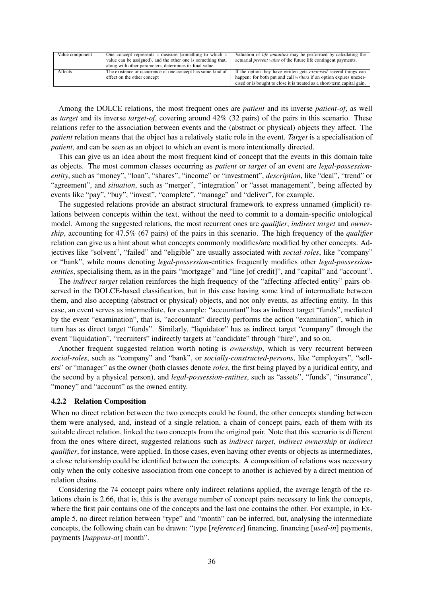| Value component | One concept represents a measure (something to which a<br>value can be assigned), and the other one is something that,<br>along with other parameters, determines its final value | Valuation of <i>life annuities</i> may be performed by calculating the<br>actuarial <i>present value</i> of the future life contingent payments. |
|-----------------|-----------------------------------------------------------------------------------------------------------------------------------------------------------------------------------|--------------------------------------------------------------------------------------------------------------------------------------------------|
|                 |                                                                                                                                                                                   |                                                                                                                                                  |
| Affects         | The existence or occurrence of one concept has some kind of                                                                                                                       | If the option they have written gets <i>exercised</i> several things can                                                                         |
|                 | effect on the other concept                                                                                                                                                       | happen: for both put and call <i>writers</i> if an option expires unexer-                                                                        |
|                 |                                                                                                                                                                                   | cised or is bought to close it is treated as a short-term capital gain.                                                                          |

Among the DOLCE relations, the most frequent ones are *patient* and its inverse *patient-of*, as well as *target* and its inverse *target-of*, covering around 42% (32 pairs) of the pairs in this scenario. These relations refer to the association between events and the (abstract or physical) objects they affect. The *patient* relation means that the object has a relatively static role in the event. *Target* is a specialisation of *patient*, and can be seen as an object to which an event is more intentionally directed.

This can give us an idea about the most frequent kind of concept that the events in this domain take as objects. The most common classes occurring as *patient* or *target* of an event are *legal-possessionentity*, such as "money", "loan", "shares", "income" or "investment", *description*, like "deal", "trend" or "agreement", and *situation*, such as "merger", "integration" or "asset management", being affected by events like "pay", "buy", "invest", "complete", "manage" and "deliver", for example.

The suggested relations provide an abstract structural framework to express unnamed (implicit) relations between concepts within the text, without the need to commit to a domain-specific ontological model. Among the suggested relations, the most recurrent ones are *qualifier*, *indirect target* and *ownership*, accounting for 47.5% (67 pairs) of the pairs in this scenario. The high frequency of the *qualifier* relation can give us a hint about what concepts commonly modifies/are modified by other concepts. Adjectives like "solvent", "failed" and "eligible" are usually associated with *social-roles*, like "company" or "bank", while nouns denoting *legal-possession*-entities frequently modifies other *legal-possessionentities*, specialising them, as in the pairs "mortgage" and "line [of credit]", and "capital" and "account".

The *indirect target* relation reinforces the high frequency of the "affecting-affected entity" pairs observed in the DOLCE-based classification, but in this case having some kind of intermediate between them, and also accepting (abstract or physical) objects, and not only events, as affecting entity. In this case, an event serves as intermediate, for example: "accountant" has as indirect target "funds", mediated by the event "examination", that is, "accountant" directly performs the action "examination", which in turn has as direct target "funds". Similarly, "liquidator" has as indirect target "company" through the event "liquidation", "recruiters" indirectly targets at "candidate" through "hire", and so on.

Another frequent suggested relation worth noting is *ownership*, which is very recurrent between *social-roles*, such as "company" and "bank", or *socially-constructed-persons*, like "employers", "sellers" or "manager" as the owner (both classes denote *roles*, the first being played by a juridical entity, and the second by a physical person), and *legal-possession-entities*, such as "assets", "funds", "insurance", "money" and "account" as the owned entity.

### 4.2.2 Relation Composition

When no direct relation between the two concepts could be found, the other concepts standing between them were analysed, and, instead of a single relation, a chain of concept pairs, each of them with its suitable direct relation, linked the two concepts from the original pair. Note that this scenario is different from the ones where direct, suggested relations such as *indirect target*, *indirect ownership* or *indirect qualifier*, for instance, were applied. In those cases, even having other events or objects as intermediates, a close relationship could be identified between the concepts. A composition of relations was necessary only when the only cohesive association from one concept to another is achieved by a direct mention of relation chains.

Considering the 74 concept pairs where only indirect relations applied, the average length of the relations chain is 2.66, that is, this is the average number of concept pairs necessary to link the concepts, where the first pair contains one of the concepts and the last one contains the other. For example, in Example 5, no direct relation between "type" and "month" can be inferred, but, analysing the intermediate concepts, the following chain can be drawn: "type [*references*] financing, financing [*used-in*] payments, payments [*happens-at*] month".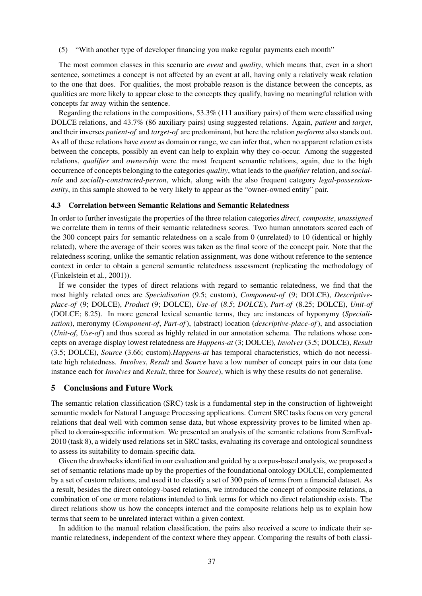(5) "With another type of developer financing you make regular payments each month"

The most common classes in this scenario are *event* and *quality*, which means that, even in a short sentence, sometimes a concept is not affected by an event at all, having only a relatively weak relation to the one that does. For qualities, the most probable reason is the distance between the concepts, as qualities are more likely to appear close to the concepts they qualify, having no meaningful relation with concepts far away within the sentence.

Regarding the relations in the compositions, 53.3% (111 auxiliary pairs) of them were classified using DOLCE relations, and 43.7% (86 auxiliary pairs) using suggested relations. Again, *patient* and *target*, and their inverses *patient-of* and *target-of* are predominant, but here the relation *performs* also stands out. As all of these relations have *event* as domain or range, we can infer that, when no apparent relation exists between the concepts, possibly an event can help to explain why they co-occur. Among the suggested relations, *qualifier* and *ownership* were the most frequent semantic relations, again, due to the high occurrence of concepts belonging to the categories *quality*, what leads to the *qualifier* relation, and *socialrole* and *socially-constructed-person*, which, along with the also frequent category *legal-possessionentity*, in this sample showed to be very likely to appear as the "owner-owned entity" pair.

### 4.3 Correlation between Semantic Relations and Semantic Relatedness

In order to further investigate the properties of the three relation categories *direct*, *composite*, *unassigned* we correlate them in terms of their semantic relatedness scores. Two human annotators scored each of the 300 concept pairs for semantic relatedness on a scale from 0 (unrelated) to 10 (identical or highly related), where the average of their scores was taken as the final score of the concept pair. Note that the relatedness scoring, unlike the semantic relation assignment, was done without reference to the sentence context in order to obtain a general semantic relatedness assessment (replicating the methodology of (Finkelstein et al., 2001)).

If we consider the types of direct relations with regard to semantic relatedness, we find that the most highly related ones are *Specialisation* (9.5; custom), *Component-of* (9; DOLCE), *Descriptiveplace-of* (9; DOLCE), *Product* (9; DOLCE), *Use-of* (*8*.*5*; *DOLCE*), *Part-of* (8.25; DOLCE), *Unit-of* (DOLCE; 8.25). In more general lexical semantic terms, they are instances of hyponymy (*Specialisation*), meronymy (*Component-of*, *Part-of*), (abstract) location (*descriptive-place-of*), and association (*Unit-of*, *Use-of*) and thus scored as highly related in our annotation schema. The relations whose concepts on average display lowest relatedness are *Happens-at* (3; DOLCE), *Involves* (3.5; DOLCE), *Result* (3.5; DOLCE), *Source* (3.66; custom).*Happens-at* has temporal characteristics, which do not necessitate high relatedness. *Involves*, *Result* and *Source* have a low number of concept pairs in our data (one instance each for *Involves* and *Result*, three for *Source*), which is why these results do not generalise.

### 5 Conclusions and Future Work

The semantic relation classification (SRC) task is a fundamental step in the construction of lightweight semantic models for Natural Language Processing applications. Current SRC tasks focus on very general relations that deal well with common sense data, but whose expressivity proves to be limited when applied to domain-specific information. We presented an analysis of the semantic relations from SemEval-2010 (task 8), a widely used relations set in SRC tasks, evaluating its coverage and ontological soundness to assess its suitability to domain-specific data.

Given the drawbacks identified in our evaluation and guided by a corpus-based analysis, we proposed a set of semantic relations made up by the properties of the foundational ontology DOLCE, complemented by a set of custom relations, and used it to classify a set of 300 pairs of terms from a financial dataset. As a result, besides the direct ontology-based relations, we introduced the concept of composite relations, a combination of one or more relations intended to link terms for which no direct relationship exists. The direct relations show us how the concepts interact and the composite relations help us to explain how terms that seem to be unrelated interact within a given context.

In addition to the manual relation classification, the pairs also received a score to indicate their semantic relatedness, independent of the context where they appear. Comparing the results of both classi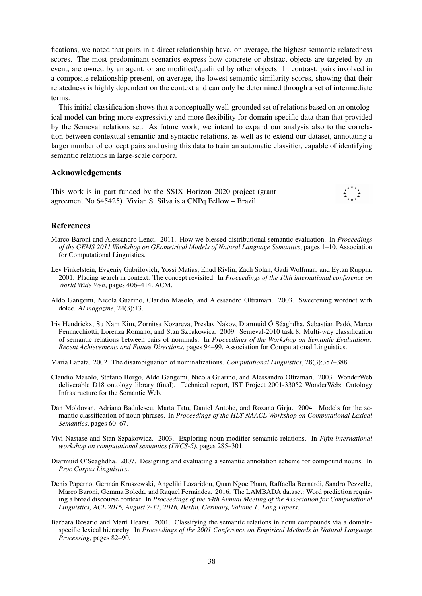fications, we noted that pairs in a direct relationship have, on average, the highest semantic relatedness scores. The most predominant scenarios express how concrete or abstract objects are targeted by an event, are owned by an agent, or are modified/qualified by other objects. In contrast, pairs involved in a composite relationship present, on average, the lowest semantic similarity scores, showing that their relatedness is highly dependent on the context and can only be determined through a set of intermediate terms.

This initial classification shows that a conceptually well-grounded set of relations based on an ontological model can bring more expressivity and more flexibility for domain-specific data than that provided by the Semeval relations set. As future work, we intend to expand our analysis also to the correlation between contextual semantic and syntactic relations, as well as to extend our dataset, annotating a larger number of concept pairs and using this data to train an automatic classifier, capable of identifying semantic relations in large-scale corpora.

### Acknowledgements

This work is in part funded by the SSIX Horizon 2020 project (grant agreement No 645425). Vivian S. Silva is a CNPq Fellow – Brazil.

| × |  |
|---|--|
|   |  |

## References

- Marco Baroni and Alessandro Lenci. 2011. How we blessed distributional semantic evaluation. In *Proceedings of the GEMS 2011 Workshop on GEometrical Models of Natural Language Semantics*, pages 1–10. Association for Computational Linguistics.
- Lev Finkelstein, Evgeniy Gabrilovich, Yossi Matias, Ehud Rivlin, Zach Solan, Gadi Wolfman, and Eytan Ruppin. 2001. Placing search in context: The concept revisited. In *Proceedings of the 10th international conference on World Wide Web*, pages 406–414. ACM.
- Aldo Gangemi, Nicola Guarino, Claudio Masolo, and Alessandro Oltramari. 2003. Sweetening wordnet with dolce. *AI magazine*, 24(3):13.
- Iris Hendrickx, Su Nam Kim, Zornitsa Kozareva, Preslav Nakov, Diarmuid Ó Séaghdha, Sebastian Padó, Marco Pennacchiotti, Lorenza Romano, and Stan Szpakowicz. 2009. Semeval-2010 task 8: Multi-way classification of semantic relations between pairs of nominals. In *Proceedings of the Workshop on Semantic Evaluations: Recent Achievements and Future Directions*, pages 94–99. Association for Computational Linguistics.

Maria Lapata. 2002. The disambiguation of nominalizations. *Computational Linguistics*, 28(3):357–388.

- Claudio Masolo, Stefano Borgo, Aldo Gangemi, Nicola Guarino, and Alessandro Oltramari. 2003. WonderWeb deliverable D18 ontology library (final). Technical report, IST Project 2001-33052 WonderWeb: Ontology Infrastructure for the Semantic Web.
- Dan Moldovan, Adriana Badulescu, Marta Tatu, Daniel Antohe, and Roxana Girju. 2004. Models for the semantic classification of noun phrases. In *Proceedings of the HLT-NAACL Workshop on Computational Lexical Semantics*, pages 60–67.
- Vivi Nastase and Stan Szpakowicz. 2003. Exploring noun-modifier semantic relations. In *Fifth international workshop on computational semantics (IWCS-5)*, pages 285–301.
- Diarmuid O'Seaghdha. 2007. Designing and evaluating a semantic annotation scheme for compound nouns. In *Proc Corpus Linguistics*.
- Denis Paperno, Germán Kruszewski, Angeliki Lazaridou, Quan Ngoc Pham, Raffaella Bernardi, Sandro Pezzelle, Marco Baroni, Gemma Boleda, and Raquel Fernández. 2016. The LAMBADA dataset: Word prediction requiring a broad discourse context. In *Proceedings of the 54th Annual Meeting of the Association for Computational Linguistics, ACL 2016, August 7-12, 2016, Berlin, Germany, Volume 1: Long Papers*.
- Barbara Rosario and Marti Hearst. 2001. Classifying the semantic relations in noun compounds via a domainspecific lexical hierarchy. In *Proceedings of the 2001 Conference on Empirical Methods in Natural Language Processing*, pages 82–90.